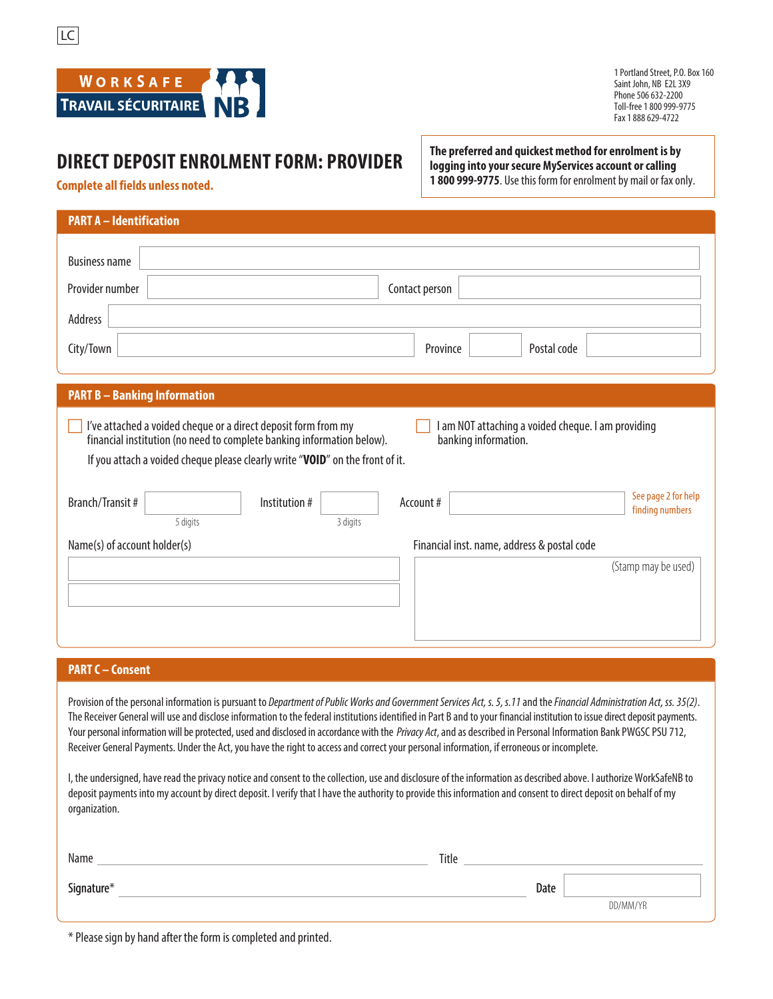



1 Portland Street, P.O. Box 160 Saint John, NB E2L 3X9 Phone 506 632-2200 Toll-free 1 800 999-9775 Fax 1 888 629-4722

## **DIRECT DEPOSIT ENROLMENT FORM: PROVIDER**

**The preferred and quickest method for enrolment is by logging into your secure MyServices account or calling 1 800 999-9775**. Use this form for enrolment by mail or fax only.

**Complete all fields unless noted.**

| <b>PART A - Identification</b>                                                                                                                                                                                                                                                                        |  |  |  |  |
|-------------------------------------------------------------------------------------------------------------------------------------------------------------------------------------------------------------------------------------------------------------------------------------------------------|--|--|--|--|
|                                                                                                                                                                                                                                                                                                       |  |  |  |  |
| Address                                                                                                                                                                                                                                                                                               |  |  |  |  |
|                                                                                                                                                                                                                                                                                                       |  |  |  |  |
| <b>PART B - Banking Information</b>                                                                                                                                                                                                                                                                   |  |  |  |  |
| I've attached a voided cheque or a direct deposit form from my<br>am NOT attaching a voided cheque. I am providing<br>financial institution (no need to complete banking information below).<br>banking information.<br>If you attach a voided cheque please clearly write "VOID" on the front of it. |  |  |  |  |
| See page 2 for help                                                                                                                                                                                                                                                                                   |  |  |  |  |
|                                                                                                                                                                                                                                                                                                       |  |  |  |  |
|                                                                                                                                                                                                                                                                                                       |  |  |  |  |
|                                                                                                                                                                                                                                                                                                       |  |  |  |  |

#### **PART C – Consent**

Provision of the personal information is pursuant to Department of Public Works and Government Services Act, s. 5, s.11 and the Financial Administration Act, ss. 35(2). The Receiver General will use and disclose information to the federal institutions identified in Part B and to your financial institution to issue direct deposit payments. Your personal information will be protected, used and disclosed in accordance with the Privacy Act, and as described in Personal Information Bank PWGSC PSU 712, Receiver General Payments. Under the Act, you have the right to access and correct your personal information, if erroneous or incomplete.

I, the undersigned, have read the privacy notice and consent to the collection, use and disclosure of the information as described above. I authorize WorkSafeNB to deposit payments into my account by direct deposit. I verify that I have the authority to provide this information and consent to direct deposit on behalf of my organization.

| Name       | Title |      |          |
|------------|-------|------|----------|
| Signature* |       | Date | DD/MM/YR |
|            |       |      |          |

\* Please sign by hand after the form is completed and printed.